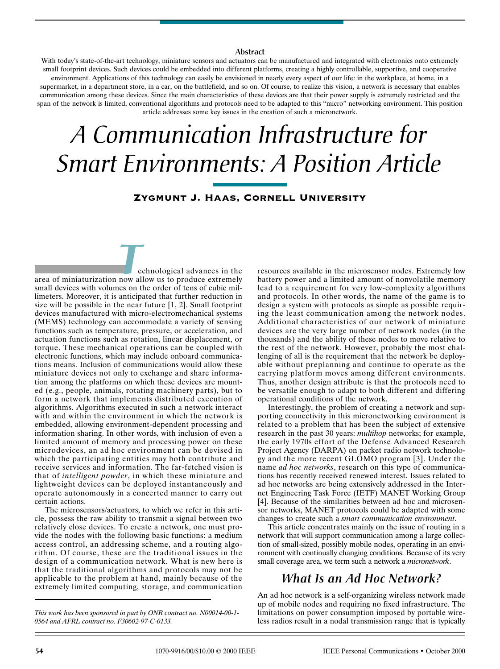#### **Abstract**

With today's state-of-the-art technology, miniature sensors and actuators can be manufactured and integrated with electronics onto extremely small footprint devices. Such devices could be embedded into different platforms, creating a highly controllable, supportive, and cooperative environment. Applications of this technology can easily be envisioned in nearly every aspect of our life: in the workplace, at home, in a supermarket, in a department store, in a car, on the battlefield, and so on. Of course, to realize this vision, a network is necessary that enables communication among these devices. Since the main characteristics of these devices are that their power supply is extremely restricted and the span of the network is limited, conventional algorithms and protocols need to be adapted to this "micro" networking environment. This position article addresses some key issues in the creation of such a micronetwork.

# *A Communication Infrastructure for Smart Environments: A Position Article*

#### Zygmunt J. Haas, Cornell University

echnological advances in the **Produce** a defined a discussed and the area of miniaturization now allow us to produce extremely small devices with volumes on the order of tens of cubic millimeters. Moreover, it is anticipated that further reduction in size will be possible in the near future [1, 2]. Small footprint devices manufactured with micro-electromechanical systems (MEMS) technology can accommodate a variety of sensing functions such as temperature, pressure, or acceleration, and actuation functions such as rotation, linear displacement, or torque. These mechanical operations can be coupled with electronic functions, which may include onboard communications means. Inclusion of communications would allow these miniature devices not only to exchange and share information among the platforms on which these devices are mounted (e.g., people, animals, rotating machinery parts), but to form a network that implements distributed execution of algorithms. Algorithms executed in such a network interact with and within the environment in which the network is embedded, allowing environment-dependent processing and information sharing. In other words, with inclusion of even a limited amount of memory and processing power on these microdevices, an ad hoc environment can be devised in which the participating entities may both contribute and receive services and information. The far-fetched vision is that of *intelligent powder*, in which these miniature and lightweight devices can be deployed instantaneously and operate autonomously in a concerted manner to carry out certain actions.

The microsensors/actuators, to which we refer in this article, possess the raw ability to transmit a signal between two relatively close devices. To create a network, one must provide the nodes with the following basic functions: a medium access control, an addressing scheme, and a routing algorithm. Of course, these are the traditional issues in the design of a communication network. What is new here is that the traditional algorithms and protocols may not be applicable to the problem at hand, mainly because of the extremely limited computing, storage, and communication

resources available in the microsensor nodes. Extremely low battery power and a limited amount of nonvolatile memory lead to a requirement for very low-complexity algorithms and protocols. In other words, the name of the game is to design a system with protocols as simple as possible requiring the least communication among the network nodes. Additional characteristics of our network of miniature devices are the very large number of network nodes (in the thousands) and the ability of these nodes to move relative to the rest of the network. However, probably the most challenging of all is the requirement that the network be deployable without preplanning and continue to operate as the carrying platform moves among different environments. Thus, another design attribute is that the protocols need to be versatile enough to adapt to both different and differing operational conditions of the network.

Interestingly, the problem of creating a network and supporting connectivity in this micronetworking environment is related to a problem that has been the subject of extensive research in the past 30 years: *multihop* networks; for example, the early 1970s effort of the Defense Advanced Research Project Agency (DARPA) on packet radio network technology and the more recent GLOMO program [3]. Under the name *ad hoc networks*, research on this type of communications has recently received renewed interest. Issues related to ad hoc networks are being extensively addressed in the Internet Engineering Task Force (IETF) MANET Working Group [4]. Because of the similarities between ad hoc and microsensor networks, MANET protocols could be adapted with some changes to create such a *smart communication environment*.

This article concentrates mainly on the issue of routing in a network that will support communication among a large collection of small-sized, possibly mobile nodes, operating in an environment with continually changing conditions. Because of its very small coverage area, we term such a network a *micronetwork*.

#### *What Is an Ad Hoc Network?*

An ad hoc network is a self-organizing wireless network made up of mobile nodes and requiring no fixed infrastructure. The limitations on power consumption imposed by portable wireless radios result in a nodal transmission range that is typically

*This work has been sponsored in part by ONR contract no. N00014-00-1- 0564 and AFRL contract no. F30602-97-C-0133.*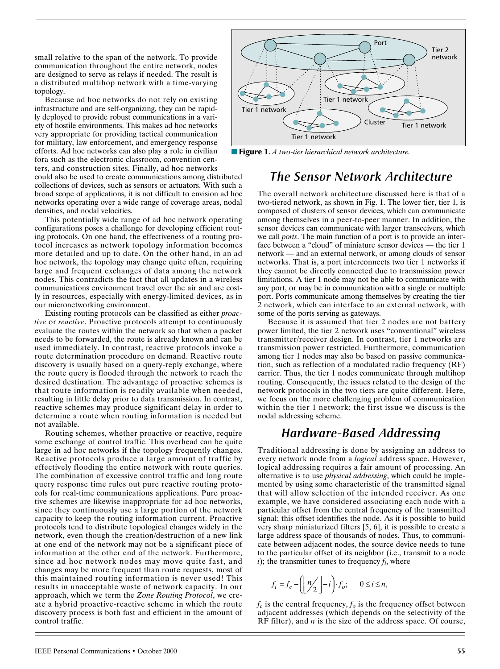small relative to the span of the network. To provide communication throughout the entire network, nodes are designed to serve as relays if needed. The result is a distributed multihop network with a time-varying topology.

Because ad hoc networks do not rely on existing infrastructure and are self-organizing, they can be rapidly deployed to provide robust communications in a variety of hostile environments. This makes ad hoc networks very appropriate for providing tactical communication for military, law enforcement, and emergency response efforts. Ad hoc networks can also play a role in civilian fora such as the electronic classroom, convention centers, and construction sites. Finally, ad hoc networks

could also be used to create communications among distributed collections of devices, such as sensors or actuators. With such a broad scope of applications, it is not difficult to envision ad hoc networks operating over a wide range of coverage areas, nodal densities, and nodal velocities.

This potentially wide range of ad hoc network operating configurations poses a challenge for developing efficient routing protocols. On one hand, the effectiveness of a routing protocol increases as network topology information becomes more detailed and up to date. On the other hand, in an ad hoc network, the topology may change quite often, requiring large and frequent exchanges of data among the network nodes. This contradicts the fact that all updates in a wireless communications environment travel over the air and are costly in resources, especially with energy-limited devices, as in our micronetworking environment.

Existing routing protocols can be classified as either *proactive* or *reactive*. Proactive protocols attempt to continuously evaluate the routes within the network so that when a packet needs to be forwarded, the route is already known and can be used immediately. In contrast, reactive protocols invoke a route determination procedure on demand. Reactive route discovery is usually based on a query-reply exchange, where the route query is flooded through the network to reach the desired destination. The advantage of proactive schemes is that route information is readily available when needed, resulting in little delay prior to data transmission. In contrast, reactive schemes may produce significant delay in order to determine a route when routing information is needed but not available.

Routing schemes, whether proactive or reactive, require some exchange of control traffic. This overhead can be quite large in ad hoc networks if the topology frequently changes. Reactive protocols produce a large amount of traffic by effectively flooding the entire network with route queries. The combination of excessive control traffic and long route query response time rules out pure reactive routing protocols for real-time communications applications. Pure proactive schemes are likewise inappropriate for ad hoc networks, since they continuously use a large portion of the network capacity to keep the routing information current. Proactive protocols tend to distribute topological changes widely in the network, even though the creation/destruction of a new link at one end of the network may not be a significant piece of information at the other end of the network. Furthermore, since ad hoc network nodes may move quite fast, and changes may be more frequent than route requests, most of this maintained routing information is never used! This results in unacceptable waste of network capacity. In our approach, which we term the *Zone Routing Protocol*, we create a hybrid proactive-reactive scheme in which the route discovery process is both fast and efficient in the amount of control traffic.



■ **Figure 1.** *A two-tier hierarchical network architecture.* 

## *The Sensor Network Architecture*

The overall network architecture discussed here is that of a two-tiered network, as shown in Fig. 1. The lower tier, tier 1, is composed of clusters of sensor devices, which can communicate among themselves in a peer-to-peer manner. In addition, the sensor devices can communicate with larger transceivers, which we call *ports*. The main function of a port is to provide an interface between a "cloud" of miniature sensor devices — the tier 1 network — and an external network, or among clouds of sensor networks. That is, a port interconnects two tier 1 networks if they cannot be directly connected due to transmission power limitations. A tier 1 node may not be able to communicate with any port, or may be in communication with a single or multiple port. Ports communicate among themselves by creating the tier 2 network, which can interface to an external network, with some of the ports serving as gateways.

Because it is assumed that tier 2 nodes are not battery power limited, the tier 2 network uses "conventional" wireless transmitter/receiver design. In contrast, tier 1 networks are transmission power restricted. Furthermore, communication among tier 1 nodes may also be based on passive communication, such as reflection of a modulated radio frequency (RF) carrier. Thus, the tier 1 nodes communicate through multihop routing. Consequently, the issues related to the design of the network protocols in the two tiers are quite different. Here, we focus on the more challenging problem of communication within the tier 1 network; the first issue we discuss is the nodal addressing scheme.

## *Hardware-Based Addressing*

Traditional addressing is done by assigning an address to every network node from a *logical* address space. However, logical addressing requires a fair amount of processing. An alternative is to use *physical addressing*, which could be implemented by using some characteristic of the transmitted signal that will allow selection of the intended receiver. As one example, we have considered associating each node with a particular offset from the central frequency of the transmitted signal; this offset identifies the node. As it is possible to build very sharp miniaturized filters [5, 6], it is possible to create a large address space of thousands of nodes. Thus, to communicate between adjacent nodes, the source device needs to tune to the particular offset of its neighbor (i.e., transmit to a node  $i$ ); the transmitter tunes to frequency  $f_i$ , where

$$
f_i = f_c - \left( \left\lfloor \frac{n}{2} \right\rfloor - i \right) \cdot f_o; \qquad 0 \le i \le n,
$$

 $f_c$  is the central frequency,  $f_o$  is the frequency offset between adjacent addresses (which depends on the selectivity of the RF filter), and *n* is the size of the address space. Of course,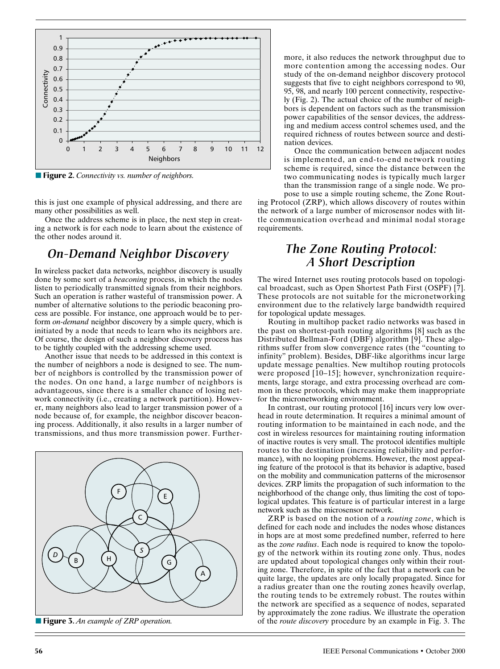

■ **Figure 2.** *Connectivity vs. number of neighbors.* 

this is just one example of physical addressing, and there are many other possibilities as well.

Once the address scheme is in place, the next step in creating a network is for each node to learn about the existence of the other nodes around it.

## *On-Demand Neighbor Discovery*

In wireless packet data networks, neighbor discovery is usually done by some sort of a *beaconing* process, in which the nodes listen to periodically transmitted signals from their neighbors. Such an operation is rather wasteful of transmission power. A number of alternative solutions to the periodic beaconing process are possible. For instance, one approach would be to perform *on-demand* neighbor discovery by a simple query, which is initiated by a node that needs to learn who its neighbors are. Of course, the design of such a neighbor discovery process has to be tightly coupled with the addressing scheme used.

Another issue that needs to be addressed in this context is the number of neighbors a node is designed to see. The number of neighbors is controlled by the transmission power of the nodes. On one hand, a large number of neighbors is advantageous, since there is a smaller chance of losing network connectivity (i.e., creating a network partition). However, many neighbors also lead to larger transmission power of a node because of, for example, the neighbor discover beaconing process. Additionally, it also results in a larger number of transmissions, and thus more transmission power. Further-



■ **Figure 3.** *An example of ZRP operation.* 

more, it also reduces the network throughput due to more contention among the accessing nodes. Our study of the on-demand neighbor discovery protocol suggests that five to eight neighbors correspond to 90, 95, 98, and nearly 100 percent connectivity, respectively (Fig. 2). The actual choice of the number of neighbors is dependent on factors such as the transmission power capabilities of the sensor devices, the addressing and medium access control schemes used, and the required richness of routes between source and destination devices.

Once the communication between adjacent nodes is implemented, an end-to-end network routing scheme is required, since the distance between the two communicating nodes is typically much larger than the transmission range of a single node. We propose to use a simple routing scheme, the Zone Rout-

ing Protocol (ZRP), which allows discovery of routes within the network of a large number of microsensor nodes with little communication overhead and minimal nodal storage requirements.

## *The Zone Routing Protocol: A Short Description*

The wired Internet uses routing protocols based on topological broadcast, such as Open Shortest Path First (OSPF) [7]. These protocols are not suitable for the micronetworking environment due to the relatively large bandwidth required for topological update messages.

Routing in multihop packet radio networks was based in the past on shortest-path routing algorithms [8] such as the Distributed Bellman-Ford (DBF) algorithm [9]. These algorithms suffer from slow convergence rates (the "counting to infinity" problem). Besides, DBF-like algorithms incur large update message penalties. New multihop routing protocols were proposed [10–15]; however, synchronization requirements, large storage, and extra processing overhead are common in these protocols, which may make them inappropriate for the micronetworking environment.

In contrast, our routing protocol [16] incurs very low overhead in route determination. It requires a minimal amount of routing information to be maintained in each node, and the cost in wireless resources for maintaining routing information of inactive routes is very small. The protocol identifies multiple routes to the destination (increasing reliability and performance), with no looping problems. However, the most appealing feature of the protocol is that its behavior is adaptive, based on the mobility and communication patterns of the microsensor devices. ZRP limits the propagation of such information to the neighborhood of the change only, thus limiting the cost of topological updates. This feature is of particular interest in a large network such as the microsensor network.

ZRP is based on the notion of a *routing zone*, which is defined for each node and includes the nodes whose distances in hops are at most some predefined number, referred to here as the *zone radius*. Each node is required to know the topology of the network within its routing zone only. Thus, nodes are updated about topological changes only within their routing zone. Therefore, in spite of the fact that a network can be quite large, the updates are only locally propagated. Since for a radius greater than one the routing zones heavily overlap, the routing tends to be extremely robust. The routes within the network are specified as a sequence of nodes, separated by approximately the zone radius. We illustrate the operation of the *route discovery* procedure by an example in Fig. 3. The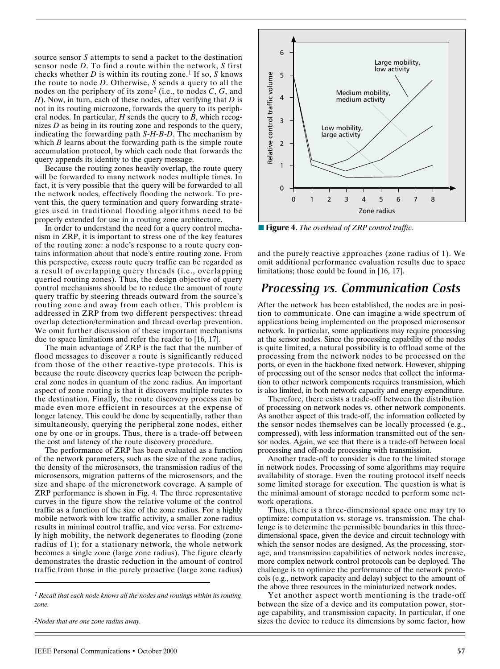source sensor *S* attempts to send a packet to the destination sensor node *D*. To find a route within the network, *S* first checks whether  $D$  is within its routing zone.<sup>1</sup> If so,  $S$  knows the route to node *D*. Otherwise, *S* sends a query to all the nodes on the periphery of its zone2 (i.e., to nodes *C*, *G*, and *H*). Now, in turn, each of these nodes, after verifying that *D* is not in its routing microzone, forwards the query to its peripheral nodes. In particular, *H* sends the query to *B*, which recognizes *D* as being in its routing zone and responds to the query, indicating the forwarding path *S*-*H*-*B*-*D*. The mechanism by which *B* learns about the forwarding path is the simple route accumulation protocol, by which each node that forwards the query appends its identity to the query message.

Because the routing zones heavily overlap, the route query will be forwarded to many network nodes multiple times. In fact, it is very possible that the query will be forwarded to all the network nodes, effectively flooding the network. To prevent this, the query termination and query forwarding strategies used in traditional flooding algorithms need to be properly extended for use in a routing zone architecture.

In order to understand the need for a query control mechanism in ZRP, it is important to stress one of the key features of the routing zone: a node's response to a route query contains information about that node's entire routing zone. From this perspective, excess route query traffic can be regarded as a result of overlapping query threads (i.e., overlapping queried routing zones). Thus, the design objective of query control mechanisms should be to reduce the amount of route query traffic by steering threads outward from the source's routing zone and away from each other. This problem is addressed in ZRP from two different perspectives: thread overlap detection/termination and thread overlap prevention. We omit further discussion of these important mechanisms due to space limitations and refer the reader to [16, 17].

The main advantage of ZRP is the fact that the number of flood messages to discover a route is significantly reduced from those of the other reactive-type protocols. This is because the route discovery queries leap between the peripheral zone nodes in quantum of the zone radius. An important aspect of zone routing is that it discovers multiple routes to the destination. Finally, the route discovery process can be made even more efficient in resources at the expense of longer latency. This could be done by sequentially, rather than simultaneously, querying the peripheral zone nodes, either one by one or in groups. Thus, there is a trade-off between the cost and latency of the route discovery procedure.

The performance of ZRP has been evaluated as a function of the network parameters, such as the size of the zone radius, the density of the microsensors, the transmission radius of the microsensors, migration patterns of the microsensors, and the size and shape of the micronetwork coverage. A sample of ZRP performance is shown in Fig. 4. The three representative curves in the figure show the relative volume of the control traffic as a function of the size of the zone radius. For a highly mobile network with low traffic activity, a smaller zone radius results in minimal control traffic, and vice versa. For extremely high mobility, the network degenerates to flooding (zone radius of 1); for a stationary network, the whole network becomes a single zone (large zone radius). The figure clearly demonstrates the drastic reduction in the amount of control traffic from those in the purely proactive (large zone radius)

*2Nodes that are one zone radius away.*



■ **Figure 4.** *The overhead of ZRP control traffic.* 

and the purely reactive approaches (zone radius of 1). We omit additional performance evaluation results due to space limitations; those could be found in [16, 17].

#### *Processing vs. Communication Costs*

After the network has been established, the nodes are in position to communicate. One can imagine a wide spectrum of applications being implemented on the proposed microsensor network. In particular, some applications may require processing at the sensor nodes. Since the processing capability of the nodes is quite limited, a natural possibility is to offload some of the processing from the network nodes to be processed on the ports, or even in the backbone fixed network. However, shipping of processing out of the sensor nodes that collect the information to other network components requires transmission, which is also limited, in both network capacity and energy expenditure.

Therefore, there exists a trade-off between the distribution of processing on network nodes vs. other network components. As another aspect of this trade-off, the information collected by the sensor nodes themselves can be locally processed (e.g., compressed), with less information transmitted out of the sensor nodes. Again, we see that there is a trade-off between local processing and off-node processing with transmission.

Another trade-off to consider is due to the limited storage in network nodes. Processing of some algorithms may require availability of storage. Even the routing protocol itself needs some limited storage for execution. The question is what is the minimal amount of storage needed to perform some network operations.

Thus, there is a three-dimensional space one may try to optimize: computation vs. storage vs. transmission. The challenge is to determine the permissible boundaries in this threedimensional space, given the device and circuit technology with which the sensor nodes are designed. As the processing, storage, and transmission capabilities of network nodes increase, more complex network control protocols can be deployed. The challenge is to optimize the performance of the network protocols (e.g., network capacity and delay) subject to the amount of the above three resources in the miniaturized network nodes.

Yet another aspect worth mentioning is the trade-off between the size of a device and its computation power, storage capability, and transmission capacity. In particular, if one sizes the device to reduce its dimensions by some factor, how

*<sup>1</sup> Recall that each node knows all the nodes and routings within its routing zone.*